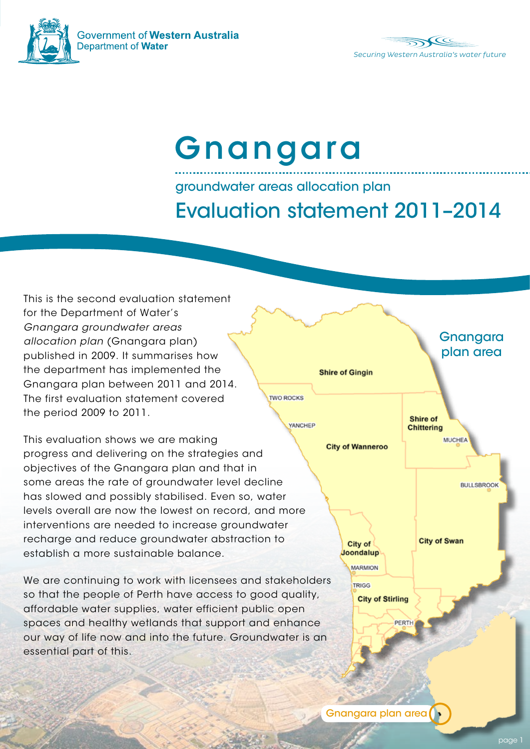

Government of Western Australia Department of Water



# Gnangara

## groundwater areas allocation plan Evaluation statement 2011–2014

This is the second evaluation statement for the Department of Water's *Gnangara groundwater areas allocation plan* (Gnangara plan) published in 2009. It summarises how the department has implemented the Gnangara plan between 2011 and 2014. The first evaluation statement covered the period 2009 to 2011.

This evaluation shows we are making progress and delivering on the strategies and objectives of the Gnangara plan and that in some areas the rate of groundwater level decline has slowed and possibly stabilised. Even so, water levels overall are now the lowest on record, and more interventions are needed to increase groundwater recharge and reduce groundwater abstraction to establish a more sustainable balance.

We are continuing to work with licensees and stakeholders so that the people of Perth have access to good quality, affordable water supplies, water efficient public open spaces and healthy wetlands that support and enhance our way of life now and into the future. Groundwater is an essential part of this.

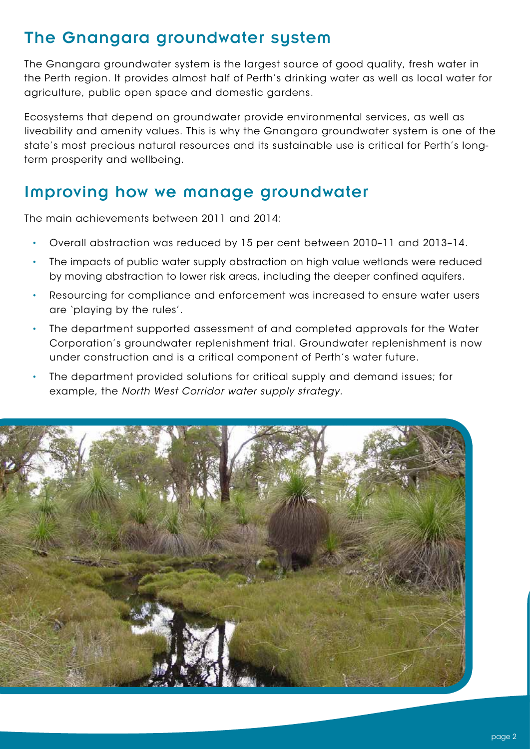#### The Gnangara groundwater system

The Gnangara groundwater system is the largest source of good quality, fresh water in the Perth region. It provides almost half of Perth's drinking water as well as local water for agriculture, public open space and domestic gardens.

Ecosystems that depend on groundwater provide environmental services, as well as liveability and amenity values. This is why the Gnangara groundwater system is one of the state's most precious natural resources and its sustainable use is critical for Perth's longterm prosperity and wellbeing.

#### Improving how we manage groundwater

The main achievements between 2011 and 2014:

- Overall abstraction was reduced by 15 per cent between 2010–11 and 2013–14.
- The impacts of public water supply abstraction on high value wetlands were reduced by moving abstraction to lower risk areas, including the deeper confined aquifers.
- Resourcing for compliance and enforcement was increased to ensure water users are 'playing by the rules'.
- The department supported assessment of and completed approvals for the Water Corporation's groundwater replenishment trial. Groundwater replenishment is now under construction and is a critical component of Perth's water future.
- The department provided solutions for critical supply and demand issues; for example, the *North West Corridor water supply strategy.*

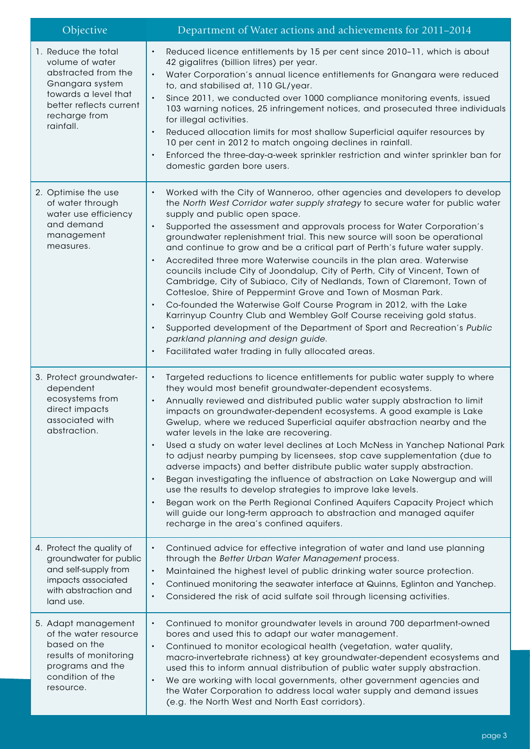| Objective                                                                                                                                                         | Department of Water actions and achievements for 2011-2014                                                                                                                                                                                                                                                                                                                                                                                                                                                                                                                                                                                                                                                                                                                                                                                                                                                                                                                                                                                                                                  |
|-------------------------------------------------------------------------------------------------------------------------------------------------------------------|---------------------------------------------------------------------------------------------------------------------------------------------------------------------------------------------------------------------------------------------------------------------------------------------------------------------------------------------------------------------------------------------------------------------------------------------------------------------------------------------------------------------------------------------------------------------------------------------------------------------------------------------------------------------------------------------------------------------------------------------------------------------------------------------------------------------------------------------------------------------------------------------------------------------------------------------------------------------------------------------------------------------------------------------------------------------------------------------|
| 1. Reduce the total<br>volume of water<br>abstracted from the<br>Gnangara system<br>towards a level that<br>better reflects current<br>recharge from<br>rainfall. | Reduced licence entitlements by 15 per cent since 2010-11, which is about<br>42 gigalitres (billion litres) per year.<br>Water Corporation's annual licence entitlements for Gnangara were reduced<br>$\bullet$<br>to, and stabilised at, 110 GL/year.<br>Since 2011, we conducted over 1000 compliance monitoring events, issued<br>$\bullet$<br>103 warning notices, 25 infringement notices, and prosecuted three individuals<br>for illegal activities.<br>Reduced allocation limits for most shallow Superficial aquifer resources by<br>10 per cent in 2012 to match ongoing declines in rainfall.<br>Enforced the three-day-a-week sprinkler restriction and winter sprinkler ban for<br>domestic garden bore users.                                                                                                                                                                                                                                                                                                                                                                 |
| 2. Optimise the use<br>of water through<br>water use efficiency<br>and demand<br>management<br>measures.                                                          | Worked with the City of Wanneroo, other agencies and developers to develop<br>the North West Corridor water supply strategy to secure water for public water<br>supply and public open space.<br>Supported the assessment and approvals process for Water Corporation's<br>$\bullet$<br>groundwater replenishment trial. This new source will soon be operational<br>and continue to grow and be a critical part of Perth's future water supply.<br>Accredited three more Waterwise councils in the plan area. Waterwise<br>councils include City of Joondalup, City of Perth, City of Vincent, Town of<br>Cambridge, City of Subiaco, City of Nedlands, Town of Claremont, Town of<br>Cottesloe, Shire of Peppermint Grove and Town of Mosman Park.<br>Co-founded the Waterwise Golf Course Program in 2012, with the Lake<br>Karrinyup Country Club and Wembley Golf Course receiving gold status.<br>Supported development of the Department of Sport and Recreation's Public<br>$\bullet$<br>parkland planning and design guide.<br>Facilitated water trading in fully allocated areas. |
| 3. Protect groundwater-<br>dependent<br>ecosystems from<br>direct impacts<br>associated with<br>abstraction.                                                      | Targeted reductions to licence entitlements for public water supply to where<br>$\bullet$<br>they would most benefit groundwater-dependent ecosystems.<br>Annually reviewed and distributed public water supply abstraction to limit<br>impacts on groundwater-dependent ecosystems. A good example is Lake<br>Gwelup, where we reduced Superficial aquifer abstraction nearby and the<br>water levels in the lake are recovering.<br>Used a study on water level declines at Loch McNess in Yanchep National Park<br>$\bullet$<br>to adjust nearby pumping by licensees, stop cave supplementation (due to<br>adverse impacts) and better distribute public water supply abstraction.<br>Began investigating the influence of abstraction on Lake Nowergup and will<br>use the results to develop strategies to improve lake levels.<br>Began work on the Perth Regional Confined Aquifers Capacity Project which<br>will guide our long-term approach to abstraction and managed aquifer<br>recharge in the area's confined aquifers.                                                     |
| 4. Protect the quality of<br>groundwater for public<br>and self-supply from<br>impacts associated<br>with abstraction and<br>land use.                            | Continued advice for effective integration of water and land use planning<br>$\bullet$<br>through the Better Urban Water Management process.<br>Maintained the highest level of public drinking water source protection.<br>$\bullet$<br>Continued monitoring the seawater interface at Quinns, Eglinton and Yanchep.<br>$\bullet$<br>Considered the risk of acid sulfate soil through licensing activities.<br>$\bullet$                                                                                                                                                                                                                                                                                                                                                                                                                                                                                                                                                                                                                                                                   |
| 5. Adapt management<br>of the water resource<br>based on the<br>results of monitoring<br>programs and the<br>condition of the<br>resource.                        | Continued to monitor groundwater levels in around 700 department-owned<br>$\bullet$<br>bores and used this to adapt our water management.<br>Continued to monitor ecological health (vegetation, water quality,<br>$\bullet$<br>macro-invertebrate richness) at key groundwater-dependent ecosystems and<br>used this to inform annual distribution of public water supply abstraction.<br>We are working with local governments, other government agencies and<br>$\bullet$<br>the Water Corporation to address local water supply and demand issues<br>(e.g. the North West and North East corridors).                                                                                                                                                                                                                                                                                                                                                                                                                                                                                    |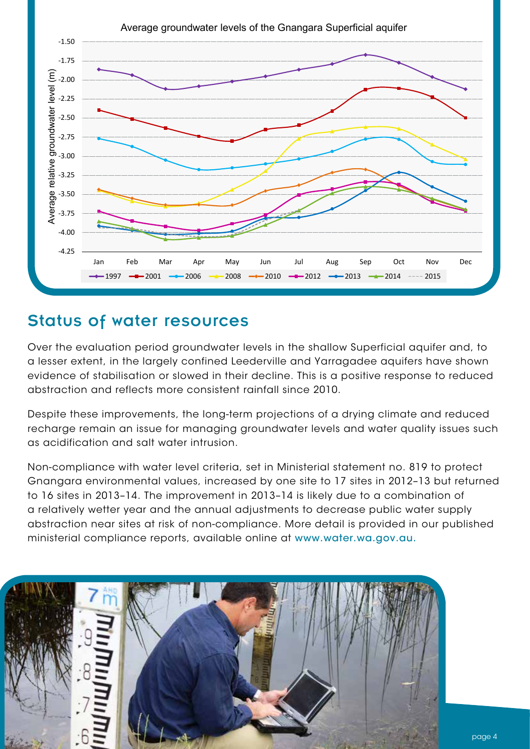

#### Status of water resources

Over the evaluation period groundwater levels in the shallow Superficial aquifer and, to a lesser extent, in the largely confined Leederville and Yarragadee aquifers have shown evidence of stabilisation or slowed in their decline. This is a positive response to reduced abstraction and reflects more consistent rainfall since 2010.

Despite these improvements, the long-term projections of a drying climate and reduced recharge remain an issue for managing groundwater levels and water quality issues such as acidification and salt water intrusion.

Non-compliance with water level criteria, set in Ministerial statement no. 819 to protect Gnangara environmental values, increased by one site to 17 sites in 2012–13 but returned to 16 sites in 2013–14. The improvement in 2013–14 is likely due to a combination of a relatively wetter year and the annual adjustments to decrease public water supply abstraction near sites at risk of non-compliance. More detail is provided in our published ministerial compliance reports, available online at www.water.wa.gov.au.

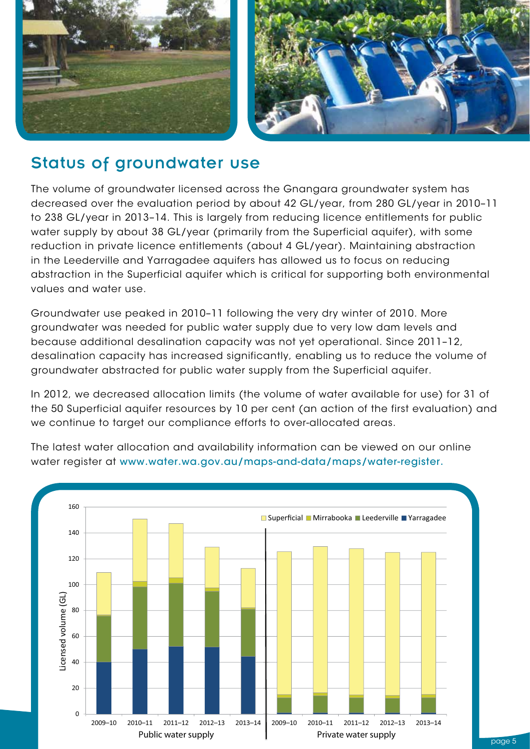

#### Status of groundwater use

The volume of groundwater licensed across the Gnangara groundwater system has decreased over the evaluation period by about 42 GL/year, from 280 GL/year in 2010–11 to 238 GL/year in 2013–14. This is largely from reducing licence entitlements for public water supply by about 38 GL/year (primarily from the Superficial aquifer), with some reduction in private licence entitlements (about 4 GL/year). Maintaining abstraction in the Leederville and Yarragadee aquifers has allowed us to focus on reducing abstraction in the Superficial aquifer which is critical for supporting both environmental values and water use.

Groundwater use peaked in 2010–11 following the very dry winter of 2010. More groundwater was needed for public water supply due to very low dam levels and because additional desalination capacity was not yet operational. Since 2011–12, desalination capacity has increased significantly, enabling us to reduce the volume of groundwater abstracted for public water supply from the Superficial aquifer.

In 2012, we decreased allocation limits (the volume of water available for use) for 31 of the 50 Superficial aquifer resources by 10 per cent (an action of the first evaluation) and we continue to target our compliance efforts to over-allocated areas.



The latest water allocation and availability information can be viewed on our online water register at www.water.wa.gov.au/maps-and-data/maps/water-register.